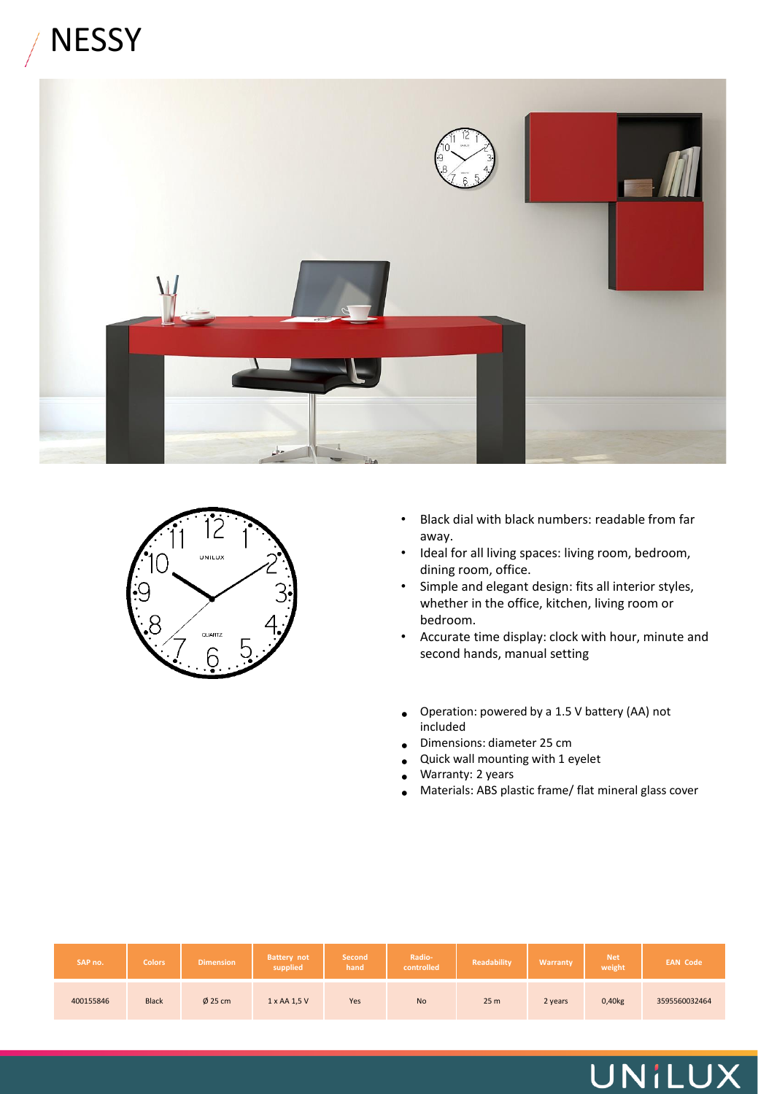## **NESSY**





- Black dial with black numbers: readable from far away.
- Ideal for all living spaces: living room, bedroom, dining room, office.
- Simple and elegant design: fits all interior styles, whether in the office, kitchen, living room or bedroom.
- Accurate time display: clock with hour, minute and second hands, manual setting
- Operation: powered by a 1.5 V battery (AA) not included
- Dimensions: diameter 25 cm
- Quick wall mounting with 1 eyelet
- Warranty: 2 years
- Materials: ABS plastic frame/ flat mineral glass cover

| SAP no.   | <b>Colors</b> | <b>Dimension</b> | <b>Battery not</b><br>supplied | Second<br>hand | Radio-<br>controlled | Readability     | Warranty | <b>Net</b><br>weight | <b>EAN Code</b> |
|-----------|---------------|------------------|--------------------------------|----------------|----------------------|-----------------|----------|----------------------|-----------------|
| 400155846 | <b>Black</b>  | $\phi$ 25 cm     | 1 x AA 1,5 V                   | Yes            | <b>No</b>            | 25 <sub>m</sub> | 2 years  | 0,40kg               | 3595560032464   |

### UNILUX